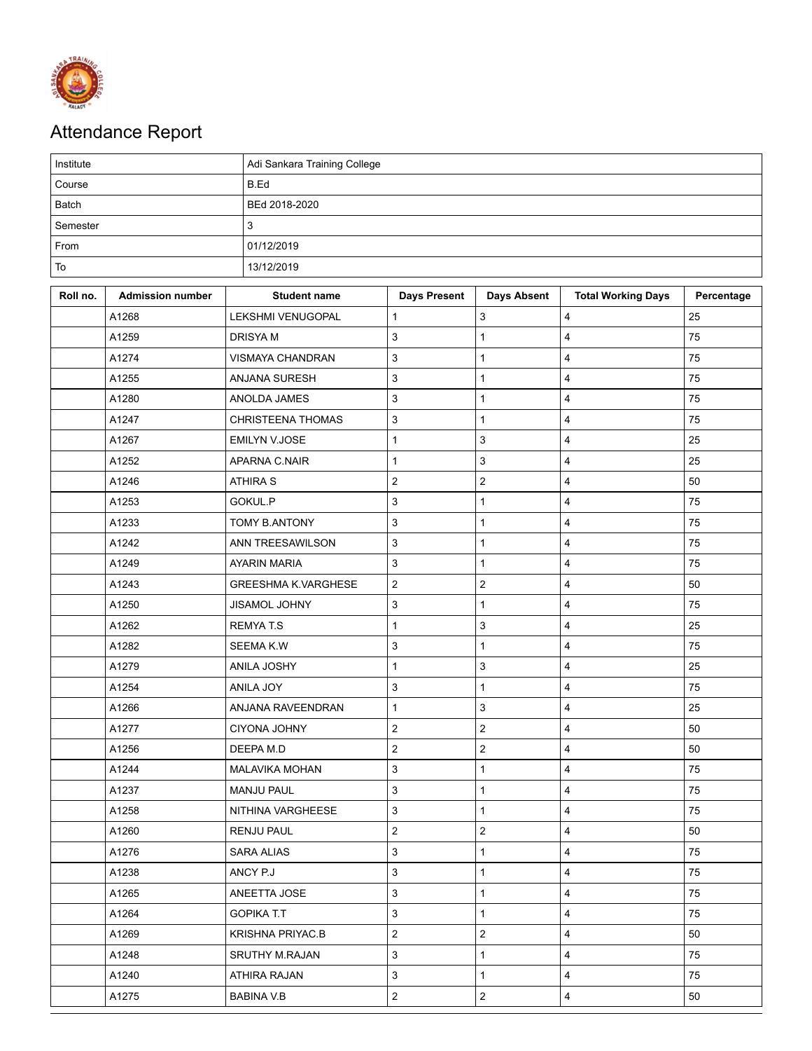

## Attendance Report

| Institute |                         |                            | Adi Sankara Training College |                     |                         |                           |            |  |  |  |
|-----------|-------------------------|----------------------------|------------------------------|---------------------|-------------------------|---------------------------|------------|--|--|--|
| Course    |                         |                            | B.Ed                         |                     |                         |                           |            |  |  |  |
| Batch     |                         |                            | BEd 2018-2020                |                     |                         |                           |            |  |  |  |
| Semester  |                         |                            | 3                            |                     |                         |                           |            |  |  |  |
| From      |                         |                            | 01/12/2019                   |                     |                         |                           |            |  |  |  |
| To        |                         |                            | 13/12/2019                   |                     |                         |                           |            |  |  |  |
| Roll no.  | <b>Admission number</b> |                            | <b>Student name</b>          | <b>Days Present</b> | <b>Days Absent</b>      | <b>Total Working Days</b> | Percentage |  |  |  |
|           | A1268                   | LEKSHMI VENUGOPAL          |                              | $\mathbf{1}$        | 3                       | 4                         | 25         |  |  |  |
|           | A1259                   | <b>DRISYAM</b>             |                              | 3                   | $\mathbf{1}$            | 4                         | 75         |  |  |  |
|           | A1274                   | VISMAYA CHANDRAN           |                              | 3                   | 1                       | $\overline{4}$            | 75         |  |  |  |
|           | A1255                   | ANJANA SURESH              |                              | 3                   | 1                       | $\overline{\mathbf{4}}$   | 75         |  |  |  |
|           | A1280                   | ANOLDA JAMES               |                              | 3                   | $\mathbf{1}$            | $\overline{\mathbf{4}}$   | 75         |  |  |  |
|           | A1247                   | <b>CHRISTEENA THOMAS</b>   |                              | 3                   | 1                       | $\overline{\mathbf{4}}$   | 75         |  |  |  |
|           | A1267                   | <b>EMILYN V.JOSE</b>       |                              | $\mathbf{1}$        | $\mathbf{3}$            | $\overline{\mathbf{4}}$   | 25         |  |  |  |
|           | A1252                   | APARNA C.NAIR              |                              | $\mathbf{1}$        | $\mathbf{3}$            | $\overline{\mathbf{4}}$   | 25         |  |  |  |
|           | A1246                   | <b>ATHIRA S</b>            |                              | $\overline{c}$      | $\overline{\mathbf{c}}$ | $\overline{\mathbf{4}}$   | 50         |  |  |  |
|           | A1253                   | GOKUL.P                    |                              | 3                   | $\mathbf{1}$            | $\overline{4}$            | 75         |  |  |  |
|           | A1233                   | TOMY B.ANTONY              |                              | 3                   | $\mathbf{1}$            | $\overline{\mathbf{4}}$   | 75         |  |  |  |
|           | A1242                   | ANN TREESAWILSON           |                              | $\mathsf 3$         | $\mathbf{1}$            | $\overline{\mathbf{4}}$   | 75         |  |  |  |
|           | A1249                   | <b>AYARIN MARIA</b>        |                              | 3                   | $\mathbf{1}$            | 4                         | 75         |  |  |  |
|           | A1243                   | <b>GREESHMA K.VARGHESE</b> |                              | $\overline{c}$      | $\overline{c}$          | 4                         | 50         |  |  |  |
|           | A1250                   | JISAMOL JOHNY              |                              | 3                   | $\mathbf{1}$            | $\overline{4}$            | 75         |  |  |  |
|           | A1262                   | <b>REMYAT.S</b>            |                              | 1                   | 3                       | 4                         | 25         |  |  |  |
|           | A1282                   | SEEMA K.W                  |                              | $\mathsf 3$         | $\mathbf{1}$            | $\overline{\mathbf{4}}$   | 75         |  |  |  |
|           | A1279                   | ANILA JOSHY                |                              | $\mathbf{1}$        | 3                       | 4                         | 25         |  |  |  |
|           | A1254                   | ANILA JOY                  |                              | 3                   | $\mathbf{1}$            | 4                         | 75         |  |  |  |
|           | A1266                   | ANJANA RAVEENDRAN          |                              | $\mathbf{1}$        | 3                       | $\overline{\mathbf{4}}$   | 25         |  |  |  |
|           | A1277                   | <b>CIYONA JOHNY</b>        |                              | $\overline{c}$      | $\overline{2}$          | $\overline{\mathbf{4}}$   | 50         |  |  |  |
|           | A1256                   | DEEPA M.D                  |                              | $\overline{2}$      | $\overline{2}$          | $\overline{4}$            | 50         |  |  |  |
|           | A1244                   | MALAVIKA MOHAN             |                              | 3                   | $\mathbf{1}$            | 4                         | 75         |  |  |  |
|           | A1237                   | <b>MANJU PAUL</b>          |                              | $\mathsf 3$         | $\mathbf{1}$            | $\overline{4}$            | 75         |  |  |  |
|           | A1258                   | NITHINA VARGHEESE          |                              | 3                   | $\mathbf{1}$            | 4                         | 75         |  |  |  |
|           | A1260                   | <b>RENJU PAUL</b>          |                              | $\mathbf 2$         | $\mathbf 2$             | 4                         | 50         |  |  |  |
|           | A1276                   | <b>SARA ALIAS</b>          |                              | 3                   | $\mathbf{1}$            | $\overline{\mathbf{4}}$   | 75         |  |  |  |
|           | A1238                   | ANCY P.J                   |                              | 3                   | $\mathbf{1}$            | 4                         | 75         |  |  |  |
|           | A1265                   | ANEETTA JOSE               |                              | $\mathbf{3}$        | $\mathbf{1}$            | $\overline{4}$            | 75         |  |  |  |
|           | A1264                   | <b>GOPIKA T.T</b>          |                              | 3                   | $\mathbf{1}$            | 4                         | 75         |  |  |  |
|           | A1269                   | <b>KRISHNA PRIYAC.B</b>    |                              | $\overline{c}$      | $\overline{2}$          | $\overline{4}$            | 50         |  |  |  |
|           | A1248                   | <b>SRUTHY M.RAJAN</b>      |                              | 3                   | $\mathbf{1}$            | $\overline{\mathbf{4}}$   | 75         |  |  |  |
|           | A1240                   | ATHIRA RAJAN               |                              | 3                   | $\mathbf{1}$            | 4                         | 75         |  |  |  |
|           | A1275                   | BABINA V.B                 |                              | $\overline{c}$      | $\overline{a}$          | 4                         | 50         |  |  |  |